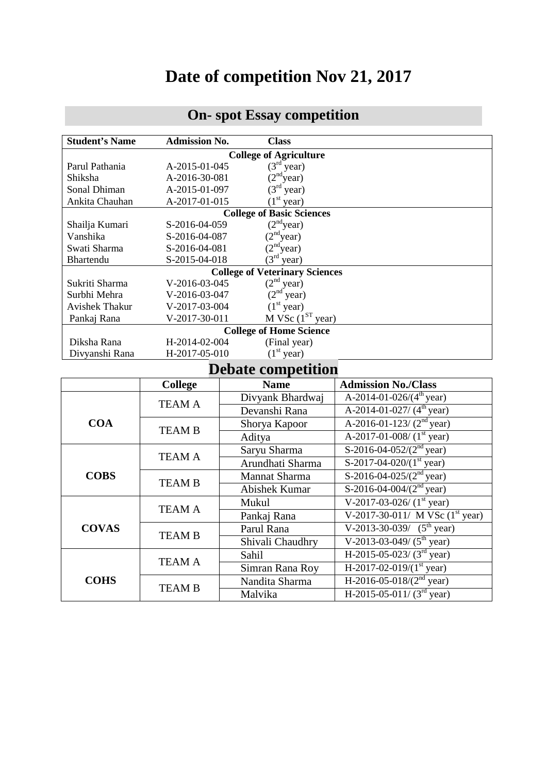## **Date of competition Nov 21, 2017**

## **On- spot Essay competition**

| <b>Student's Name</b>                 | <b>Admission No.</b>                          | <b>Class</b>                                                  |                                         |  |  |  |  |  |
|---------------------------------------|-----------------------------------------------|---------------------------------------------------------------|-----------------------------------------|--|--|--|--|--|
| <b>College of Agriculture</b>         |                                               |                                                               |                                         |  |  |  |  |  |
| Parul Pathania                        |                                               | $(3rd year)$<br>$(2nd year)$<br>$(3rd year)$<br>A-2015-01-045 |                                         |  |  |  |  |  |
| Shiksha                               | A-2016-30-081                                 |                                                               |                                         |  |  |  |  |  |
| Sonal Dhiman                          | A-2015-01-097                                 |                                                               |                                         |  |  |  |  |  |
| Ankita Chauhan                        | (1 <sup>st</sup> year)<br>A-2017-01-015       |                                                               |                                         |  |  |  |  |  |
| <b>College of Basic Sciences</b>      |                                               |                                                               |                                         |  |  |  |  |  |
| Shailja Kumari                        | (2 <sup>nd</sup> year)<br>S-2016-04-059       |                                                               |                                         |  |  |  |  |  |
| Vanshika                              | S-2016-04-087                                 | (2 <sup>nd</sup> ) <sub>year</sub>                            |                                         |  |  |  |  |  |
| Swati Sharma                          | S-2016-04-081                                 | $(2nd year)$<br>$(3rd year)$                                  |                                         |  |  |  |  |  |
| Bhartendu                             | S-2015-04-018                                 |                                                               |                                         |  |  |  |  |  |
| <b>College of Veterinary Sciences</b> |                                               |                                                               |                                         |  |  |  |  |  |
| Sukriti Sharma                        | $(2nd year)$<br>$(2nd year)$<br>V-2016-03-045 |                                                               |                                         |  |  |  |  |  |
| Surbhi Mehra                          | V-2016-03-047                                 |                                                               |                                         |  |  |  |  |  |
| <b>Avishek Thakur</b>                 | V-2017-03-004                                 | (1 <sup>st</sup> year)                                        |                                         |  |  |  |  |  |
| Pankaj Rana                           | V-2017-30-011                                 | $M$ VSc ( $1ST$ year)                                         |                                         |  |  |  |  |  |
| <b>College of Home Science</b>        |                                               |                                                               |                                         |  |  |  |  |  |
| Diksha Rana                           |                                               | H-2014-02-004<br>(Final year)                                 |                                         |  |  |  |  |  |
| Divyanshi Rana                        |                                               | (1 <sup>st</sup> year)<br>H-2017-05-010                       |                                         |  |  |  |  |  |
| <b>Debate competition</b>             |                                               |                                                               |                                         |  |  |  |  |  |
|                                       | College                                       | <b>Name</b>                                                   | <b>Admission No./Class</b>              |  |  |  |  |  |
|                                       | <b>TEAM A</b>                                 | Divyank Bhardwaj                                              | A-2014-01-026/ $(4^{\text{th}}$ year)   |  |  |  |  |  |
|                                       |                                               | Devanshi Rana                                                 | A-2014-01-027/ $(4th$ year)             |  |  |  |  |  |
| <b>COA</b>                            | <b>TEAM B</b>                                 | Shorya Kapoor                                                 | A-2016-01-123/ $(2nd$ year)             |  |  |  |  |  |
|                                       |                                               | Aditya                                                        | A-2017-01-008/ $(1st$ year)             |  |  |  |  |  |
|                                       |                                               | Saryu Sharma                                                  | S-2016-04-052/ $(2nd$ year)             |  |  |  |  |  |
| <b>COBS</b>                           | TEAM A                                        | Arundhati Sharma                                              | S-2017-04-020/ $(1st$ year)             |  |  |  |  |  |
|                                       |                                               | Mannat Sharma                                                 | S-2016-04-025/ $(2nd$ year)             |  |  |  |  |  |
|                                       | <b>TEAM B</b>                                 |                                                               | S-2016-04-004/ $(2nd$ year)             |  |  |  |  |  |
|                                       |                                               | <b>Abishek Kumar</b>                                          |                                         |  |  |  |  |  |
| <b>COVAS</b>                          | <b>TEAM A</b>                                 | Mukul                                                         | V-2017-03-026/ $(1st$ year)             |  |  |  |  |  |
|                                       |                                               | Pankaj Rana                                                   | V-2017-30-011/ M VSc $(1st year)$       |  |  |  |  |  |
|                                       | <b>TEAM B</b>                                 | Parul Rana                                                    | $V-2013-30-039/$ (5 <sup>th</sup> year) |  |  |  |  |  |
|                                       |                                               | Shivali Chaudhry                                              | $V-2013-03-049/ (5th year)$             |  |  |  |  |  |
| <b>COHS</b>                           | TEAM A                                        | Sahil                                                         | H-2015-05-023/ $(3^{rd}$ year)          |  |  |  |  |  |
|                                       |                                               | Simran Rana Roy                                               | H-2017-02-019/ $(1st$ year)             |  |  |  |  |  |
|                                       | <b>TEAM B</b>                                 | Nandita Sharma                                                | H-2016-05-018/ $(2nd$ year)             |  |  |  |  |  |
|                                       |                                               | Malvika                                                       | H-2015-05-011/ $(3rd$ year)             |  |  |  |  |  |